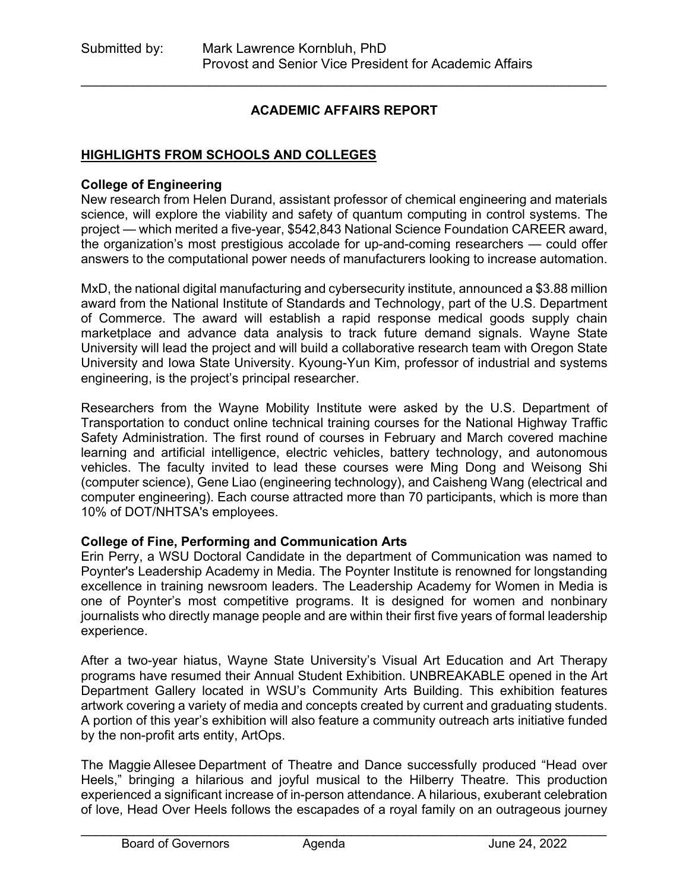# **ACADEMIC AFFAIRS REPORT**

\_\_\_\_\_\_\_\_\_\_\_\_\_\_\_\_\_\_\_\_\_\_\_\_\_\_\_\_\_\_\_\_\_\_\_\_\_\_\_\_\_\_\_\_\_\_\_\_\_\_\_\_\_\_\_\_\_\_\_\_\_\_\_\_\_\_\_\_\_\_

## **HIGHLIGHTS FROM SCHOOLS AND COLLEGES**

#### **College of Engineering**

New research from Helen Durand, assistant professor of chemical engineering and materials science, will explore the viability and safety of quantum computing in control systems. The project — which merited a five-year, \$542,843 National Science Foundation CAREER award, the organization's most prestigious accolade for up-and-coming researchers — could offer answers to the computational power needs of manufacturers looking to increase automation.

MxD, the national digital manufacturing and cybersecurity institute, announced a \$3.88 million award from the National Institute of Standards and Technology, part of the U.S. Department of Commerce. The award will establish a rapid response medical goods supply chain marketplace and advance data analysis to track future demand signals. Wayne State University will lead the project and will build a collaborative research team with Oregon State University and Iowa State University. Kyoung-Yun Kim, professor of industrial and systems engineering, is the project's principal researcher.

Researchers from the Wayne Mobility Institute were asked by the U.S. Department of Transportation to conduct online technical training courses for the National Highway Traffic Safety Administration. The first round of courses in February and March covered machine learning and artificial intelligence, electric vehicles, battery technology, and autonomous vehicles. The faculty invited to lead these courses were Ming Dong and Weisong Shi (computer science), Gene Liao (engineering technology), and Caisheng Wang (electrical and computer engineering). Each course attracted more than 70 participants, which is more than 10% of DOT/NHTSA's employees.

### **College of Fine, Performing and Communication Arts**

Erin Perry, a WSU Doctoral Candidate in the department of Communication was named to Poynter's Leadership Academy in Media. The Poynter Institute is renowned for longstanding excellence in training newsroom leaders. The Leadership Academy for Women in Media is one of Poynter's most competitive programs. It is designed for women and nonbinary journalists who directly manage people and are within their first five years of formal leadership experience.

After a two-year hiatus, Wayne State University's Visual Art Education and Art Therapy programs have resumed their Annual Student Exhibition. UNBREAKABLE opened in the Art Department Gallery located in WSU's Community Arts Building. This exhibition features artwork covering a variety of media and concepts created by current and graduating students. A portion of this year's exhibition will also feature a community outreach arts initiative funded by the non-profit arts entity, ArtOps.

The Maggie Allesee Department of Theatre and Dance successfully produced "Head over Heels," bringing a hilarious and joyful musical to the Hilberry Theatre. This production experienced a significant increase of in-person attendance. A hilarious, exuberant celebration of love, Head Over Heels follows the escapades of a royal family on an outrageous journey

\_\_\_\_\_\_\_\_\_\_\_\_\_\_\_\_\_\_\_\_\_\_\_\_\_\_\_\_\_\_\_\_\_\_\_\_\_\_\_\_\_\_\_\_\_\_\_\_\_\_\_\_\_\_\_\_\_\_\_\_\_\_\_\_\_\_\_\_\_\_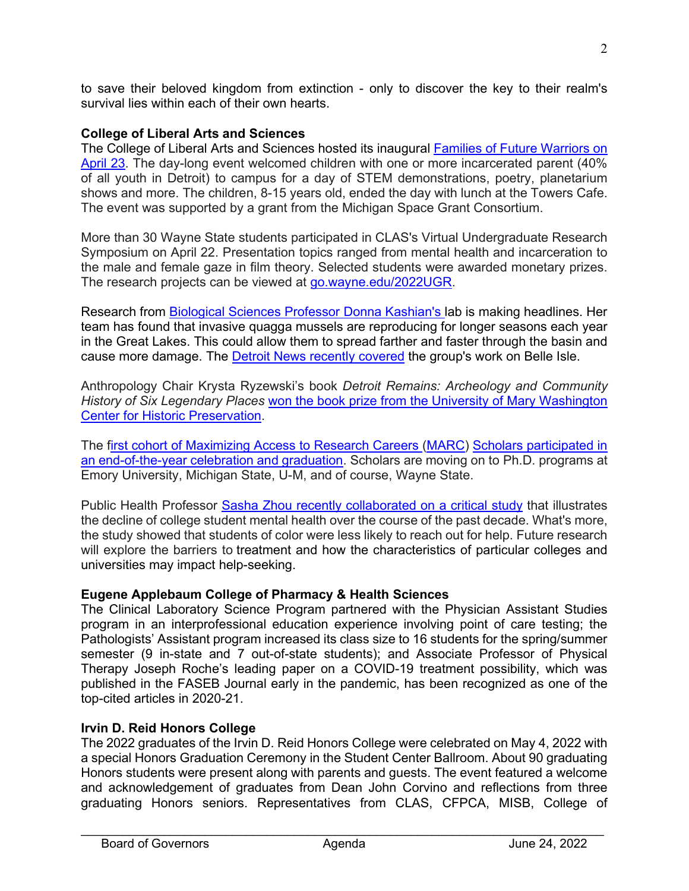to save their beloved kingdom from extinction - only to discover the key to their realm's survival lies within each of their own hearts.

# **College of Liberal Arts and Sciences**

The College of Liberal Arts and Sciences hosted its inaugural **Families of Future Warriors on** [April 23.](https://go.wayne.edu/april23) The day-long event welcomed children with one or more incarcerated parent (40% of all youth in Detroit) to campus for a day of STEM demonstrations, poetry, planetarium shows and more. The children, 8-15 years old, ended the day with lunch at the Towers Cafe. The event was supported by a grant from the Michigan Space Grant Consortium.

More than 30 Wayne State students participated in CLAS's Virtual Undergraduate Research Symposium on April 22. Presentation topics ranged from mental health and incarceration to the male and female gaze in film theory. Selected students were awarded monetary prizes. The research projects can be viewed at [go.wayne.edu/2022UGR.](http://go.wayne.edu/2022UGR)

Research from [Biological Sciences Professor Donna Kashian's la](https://clasprofiles.wayne.edu/profile/ci3714)b is making headlines. Her team has found that invasive quagga mussels are reproducing for longer seasons each year in the Great Lakes. This could allow them to spread farther and faster through the basin and cause more damage. The [Detroit News recently covered](https://www.detroitnews.com/story/news/environment/2022/05/14/great-lakes-quagga-mussels-invasive-threat/9586876002/) the group's work on Belle Isle.

Anthropology Chair Krysta Ryzewski's book *Detroit Remains: Archeology and Community History of Six Legendary Places* [won the book prize from the University of Mary Washington](https://eagleeye.umw.edu/2022/04/14/center-for-historic-preservation-awards-book-prize/)  [Center for Historic Preservation.](https://eagleeye.umw.edu/2022/04/14/center-for-historic-preservation-awards-book-prize/)

The [first cohort of Maximizing Access to Research Careers](https://twitter.com/WayneStateCLAS/status/1525193872841875456) [\(MARC\)](https://twitter.com/WayneStateCLAS/status/1525193872841875456) [Scholars participated in](https://twitter.com/WayneStateCLAS/status/1525193872841875456)  [an end-of-the-year celebration and graduation.](https://twitter.com/WayneStateCLAS/status/1525193872841875456) Scholars are moving on to Ph.D. programs at Emory University, Michigan State, U-M, and of course, Wayne State.

Public Health Professor [Sasha Zhou recently collaborated on a critical study](https://clas.wayne.edu/public-health/news/mental-health-of-college-students-is-getting-worse-fewer-students-of-color-are-seeking-help-44732) that illustrates the decline of college student mental health over the course of the past decade. What's more, the study showed that students of color were less likely to reach out for help. Future research will explore the barriers to treatment and how the characteristics of particular colleges and universities may impact help-seeking.

### **Eugene Applebaum College of Pharmacy & Health Sciences**

The Clinical Laboratory Science Program partnered with the Physician Assistant Studies program in an interprofessional education experience involving point of care testing; the Pathologists' Assistant program increased its class size to 16 students for the spring/summer semester (9 in-state and 7 out-of-state students); and Associate Professor of Physical Therapy Joseph Roche's leading paper on a COVID-19 treatment possibility, which was published in the FASEB Journal early in the pandemic, has been recognized as one of the top-cited articles in 2020-21.

### **Irvin D. Reid Honors College**

The 2022 graduates of the Irvin D. Reid Honors College were celebrated on May 4, 2022 with a special Honors Graduation Ceremony in the Student Center Ballroom. About 90 graduating Honors students were present along with parents and guests. The event featured a welcome and acknowledgement of graduates from Dean John Corvino and reflections from three graduating Honors seniors. Representatives from CLAS, CFPCA, MISB, College of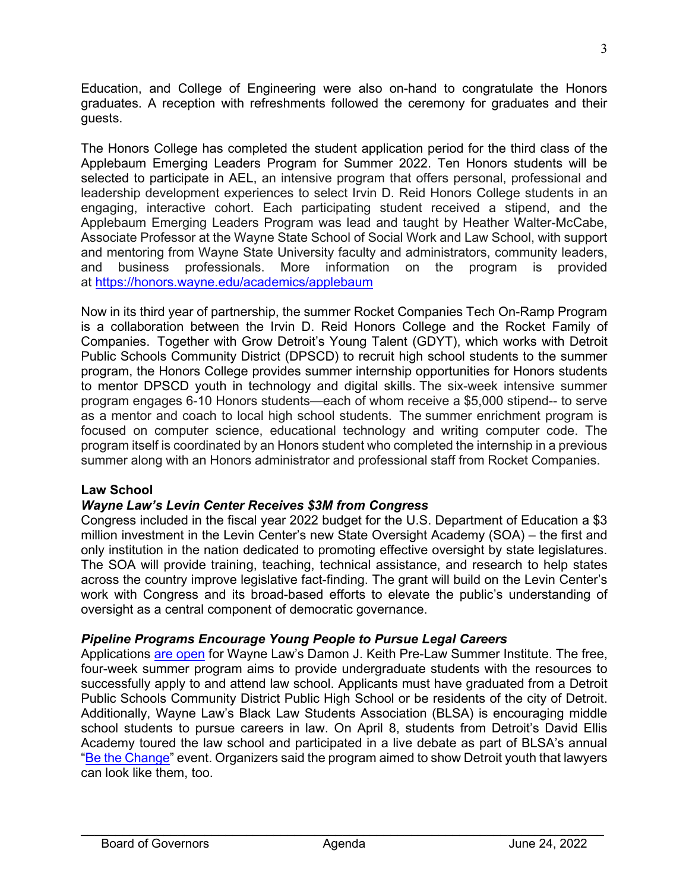Education, and College of Engineering were also on-hand to congratulate the Honors graduates. A reception with refreshments followed the ceremony for graduates and their guests.

The Honors College has completed the student application period for the third class of the Applebaum Emerging Leaders Program for Summer 2022. Ten Honors students will be selected to participate in AEL, an intensive program that offers personal, professional and leadership development experiences to select Irvin D. Reid Honors College students in an engaging, interactive cohort. Each participating student received a stipend, and the Applebaum Emerging Leaders Program was lead and taught by Heather Walter-McCabe, Associate Professor at the Wayne State School of Social Work and Law School, with support and mentoring from Wayne State University faculty and administrators, community leaders, and business professionals. More information on the program is provided at <https://honors.wayne.edu/academics/applebaum>

Now in its third year of partnership, the summer Rocket Companies Tech On-Ramp Program is a collaboration between the Irvin D. Reid Honors College and the Rocket Family of Companies. Together with Grow Detroit's Young Talent (GDYT), which works with Detroit Public Schools Community District (DPSCD) to recruit high school students to the summer program, the Honors College provides summer internship opportunities for Honors students to mentor DPSCD youth in technology and digital skills. The six-week intensive summer program engages 6-10 Honors students—each of whom receive a \$5,000 stipend-- to serve as a mentor and coach to local high school students. The summer enrichment program is focused on computer science, educational technology and writing computer code. The program itself is coordinated by an Honors student who completed the internship in a previous summer along with an Honors administrator and professional staff from Rocket Companies.

### **Law School**

# *Wayne Law's Levin Center Receives \$3M from Congress*

Congress included in the fiscal year 2022 budget for the U.S. Department of Education a \$3 million investment in the Levin Center's new State Oversight Academy (SOA) – the first and only institution in the nation dedicated to promoting effective oversight by state legislatures. The SOA will provide training, teaching, technical assistance, and research to help states across the country improve legislative fact-finding. The grant will build on the Levin Center's work with Congress and its broad-based efforts to elevate the public's understanding of oversight as a central component of democratic governance.

### *Pipeline Programs Encourage Young People to Pursue Legal Careers*

Applications [are open](https://law.wayne.edu/news/wayne-law-invites-undergrads-to-apply-to-free-lsat-law-school-prep-program-47730) for Wayne Law's Damon J. Keith Pre-Law Summer Institute. The free, four-week summer program aims to provide undergraduate students with the resources to successfully apply to and attend law school. Applicants must have graduated from a Detroit Public Schools Community District Public High School or be residents of the city of Detroit. Additionally, Wayne Law's Black Law Students Association (BLSA) is encouraging middle school students to pursue careers in law. On April 8, students from Detroit's David Ellis Academy toured the law school and participated in a live debate as part of BLSA's annual "[Be the Change"](https://law.wayne.edu/news/be-the-change-inspires-detroit-middle-school-students-to-pursue-careers-in-law-47708) event. Organizers said the program aimed to show Detroit youth that lawyers can look like them, too.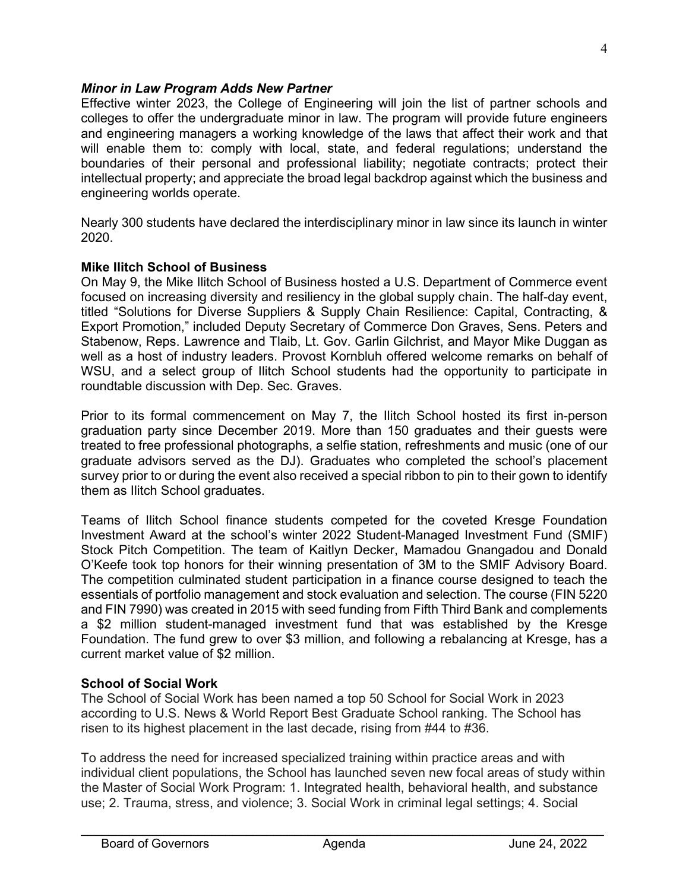## *Minor in Law Program Adds New Partner*

Effective winter 2023, the College of Engineering will join the list of partner schools and colleges to offer the undergraduate minor in law. The program will provide future engineers and engineering managers a working knowledge of the laws that affect their work and that will enable them to: comply with local, state, and federal regulations; understand the boundaries of their personal and professional liability; negotiate contracts; protect their intellectual property; and appreciate the broad legal backdrop against which the business and engineering worlds operate.

Nearly 300 students have declared the interdisciplinary minor in law since its launch in winter 2020.

## **Mike Ilitch School of Business**

On May 9, the Mike Ilitch School of Business hosted a U.S. Department of Commerce event focused on increasing diversity and resiliency in the global supply chain. The half-day event, titled "Solutions for Diverse Suppliers & Supply Chain Resilience: Capital, Contracting, & Export Promotion," included Deputy Secretary of Commerce Don Graves, Sens. Peters and Stabenow, Reps. Lawrence and Tlaib, Lt. Gov. Garlin Gilchrist, and Mayor Mike Duggan as well as a host of industry leaders. Provost Kornbluh offered welcome remarks on behalf of WSU, and a select group of Ilitch School students had the opportunity to participate in roundtable discussion with Dep. Sec. Graves.

Prior to its formal commencement on May 7, the Ilitch School hosted its first in-person graduation party since December 2019. More than 150 graduates and their guests were treated to free professional photographs, a selfie station, refreshments and music (one of our graduate advisors served as the DJ). Graduates who completed the school's placement survey prior to or during the event also received a special ribbon to pin to their gown to identify them as Ilitch School graduates.

Teams of Ilitch School finance students competed for the coveted Kresge Foundation Investment Award at the school's winter 2022 Student-Managed Investment Fund (SMIF) Stock Pitch Competition. The team of Kaitlyn Decker, Mamadou Gnangadou and Donald O'Keefe took top honors for their winning presentation of 3M to the SMIF Advisory Board. The competition culminated student participation in a finance course designed to teach the essentials of portfolio management and stock evaluation and selection. The course (FIN 5220 and FIN 7990) was created in 2015 with seed funding from Fifth Third Bank and complements a \$2 million student-managed investment fund that was established by the Kresge Foundation. The fund grew to over \$3 million, and following a rebalancing at Kresge, has a current market value of \$2 million.

### **School of Social Work**

The School of Social Work has been named a top 50 School for Social Work in 2023 according to U.S. News & World Report Best Graduate School ranking. The School has risen to its highest placement in the last decade, rising from #44 to #36.

To address the need for increased specialized training within practice areas and with individual client populations, the School has launched seven new focal areas of study within the Master of Social Work Program: 1. Integrated health, behavioral health, and substance use; 2. Trauma, stress, and violence; 3. Social Work in criminal legal settings; 4. Social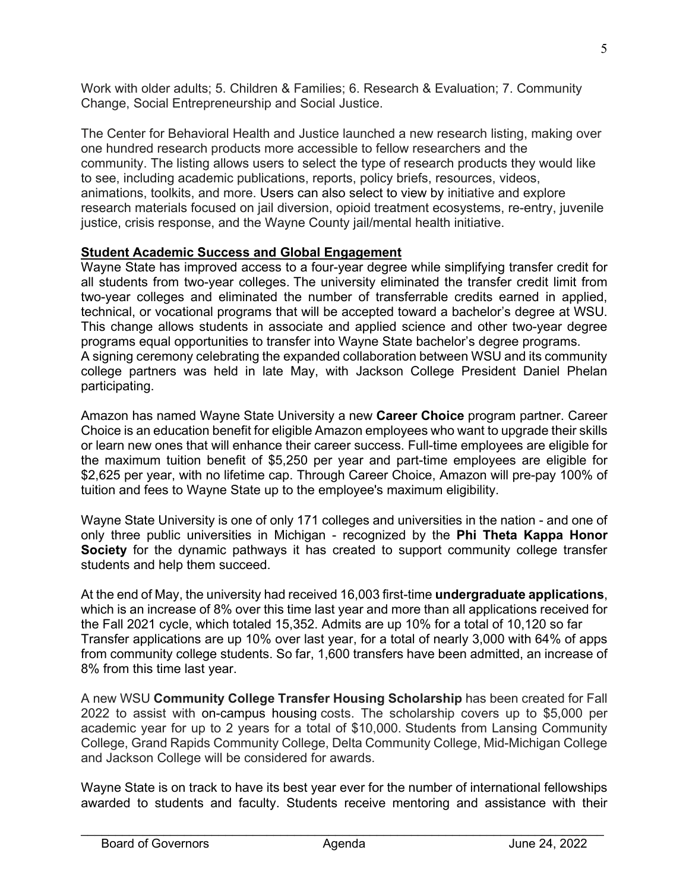Work with older adults; 5. Children & Families; 6. Research & Evaluation; 7. Community Change, Social Entrepreneurship and Social Justice.

The Center for Behavioral Health and Justice launched a new research listing, making over one hundred research products more accessible to fellow researchers and the community. The listing allows users to select the type of research products they would like to see, including academic publications, reports, policy briefs, resources, videos, animations, toolkits, and more. Users can also select to view by initiative and explore research materials focused on jail diversion, opioid treatment ecosystems, re-entry, juvenile justice, crisis response, and the Wayne County jail/mental health initiative.

## **Student Academic Success and Global Engagement**

Wayne State has improved access to a four-year degree while simplifying transfer credit for all students from two-year colleges. The university eliminated the transfer credit limit from two-year colleges and eliminated the number of transferrable credits earned in applied, technical, or vocational programs that will be accepted toward a bachelor's degree at WSU. This change allows students in associate and applied science and other two-year degree programs equal opportunities to transfer into Wayne State bachelor's degree programs. A signing ceremony celebrating the expanded collaboration between WSU and its community college partners was held in late May, with Jackson College President Daniel Phelan participating.

Amazon has named Wayne State University a new **Career Choice** program partner. Career Choice is an education benefit for eligible Amazon employees who want to upgrade their skills or learn new ones that will enhance their career success. Full-time employees are eligible for the maximum tuition benefit of \$5,250 per year and part-time employees are eligible for \$2,625 per year, with no lifetime cap. Through Career Choice, Amazon will pre-pay 100% of tuition and fees to Wayne State up to the employee's maximum eligibility.

Wayne State University is one of only 171 colleges and universities in the nation - and one of only three public universities in Michigan - recognized by the **Phi Theta Kappa Honor Society** for the dynamic pathways it has created to support community college transfer students and help them succeed.

At the end of May, the university had received 16,003 first-time **undergraduate applications**, which is an increase of 8% over this time last year and more than all applications received for the Fall 2021 cycle, which totaled 15,352. Admits are up 10% for a total of 10,120 so far Transfer applications are up 10% over last year, for a total of nearly 3,000 with 64% of apps from community college students. So far, 1,600 transfers have been admitted, an increase of 8% from this time last year.

A new WSU **Community College Transfer Housing Scholarship** has been created for Fall 2022 to assist with on-campus housing costs. The scholarship covers up to \$5,000 per academic year for up to 2 years for a total of \$10,000. Students from Lansing Community College, Grand Rapids Community College, Delta Community College, Mid-Michigan College and Jackson College will be considered for awards.

Wayne State is on track to have its best year ever for the number of international fellowships awarded to students and faculty. Students receive mentoring and assistance with their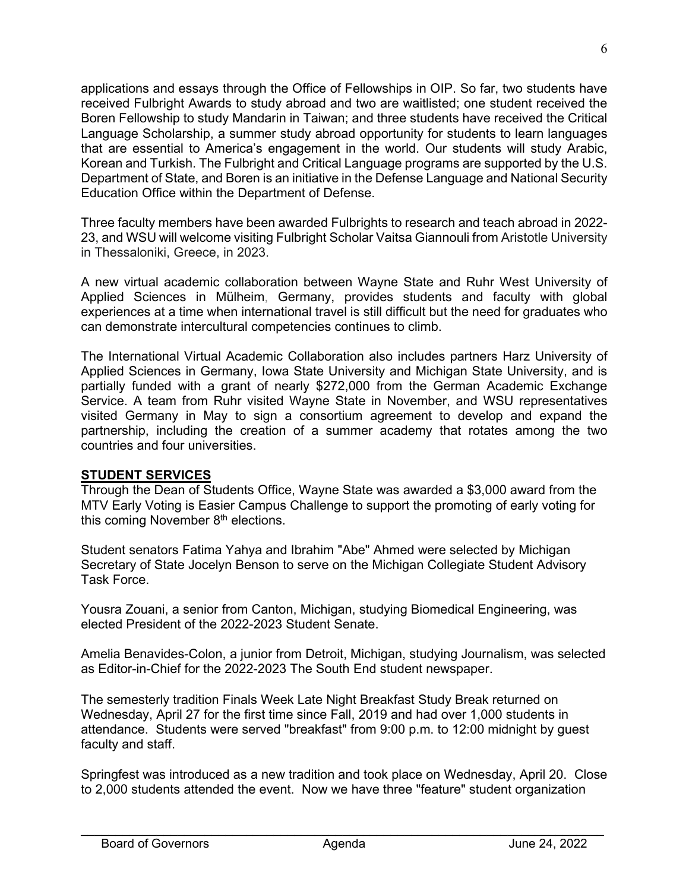applications and essays through the Office of Fellowships in OIP. So far, two students have received Fulbright Awards to study abroad and two are waitlisted; one student received the Boren Fellowship to study Mandarin in Taiwan; and three students have received the Critical Language Scholarship, a summer study abroad opportunity for students to learn languages that are essential to America's engagement in the world. Our students will study Arabic, Korean and Turkish. The Fulbright and Critical Language programs are supported by the U.S. Department of State, and Boren is an initiative in the Defense Language and National Security Education Office within the Department of Defense.

Three faculty members have been awarded Fulbrights to research and teach abroad in 2022- 23, and WSU will welcome visiting Fulbright Scholar Vaitsa Giannouli from Aristotle University in Thessaloniki, Greece, in 2023.

A new virtual academic collaboration between Wayne State and Ruhr West University of Applied Sciences in Mülheim, Germany, provides students and faculty with global experiences at a time when international travel is still difficult but the need for graduates who can demonstrate intercultural competencies continues to climb.

The International Virtual Academic Collaboration also includes partners Harz University of Applied Sciences in Germany, Iowa State University and Michigan State University, and is partially funded with a grant of nearly \$272,000 from the German Academic Exchange Service. A team from Ruhr visited Wayne State in November, and WSU representatives visited Germany in May to sign a consortium agreement to develop and expand the partnership, including the creation of a summer academy that rotates among the two countries and four universities.

# **STUDENT SERVICES**

Through the Dean of Students Office, Wayne State was awarded a \$3,000 award from the MTV Early Voting is Easier Campus Challenge to support the promoting of early voting for this coming November  $8<sup>th</sup>$  elections.

Student senators Fatima Yahya and Ibrahim "Abe" Ahmed were selected by Michigan Secretary of State Jocelyn Benson to serve on the Michigan Collegiate Student Advisory Task Force.

Yousra Zouani, a senior from Canton, Michigan, studying Biomedical Engineering, was elected President of the 2022-2023 Student Senate.

Amelia Benavides-Colon, a junior from Detroit, Michigan, studying Journalism, was selected as Editor-in-Chief for the 2022-2023 The South End student newspaper.

The semesterly tradition Finals Week Late Night Breakfast Study Break returned on Wednesday, April 27 for the first time since Fall, 2019 and had over 1,000 students in attendance. Students were served "breakfast" from 9:00 p.m. to 12:00 midnight by guest faculty and staff.

Springfest was introduced as a new tradition and took place on Wednesday, April 20. Close to 2,000 students attended the event. Now we have three "feature" student organization